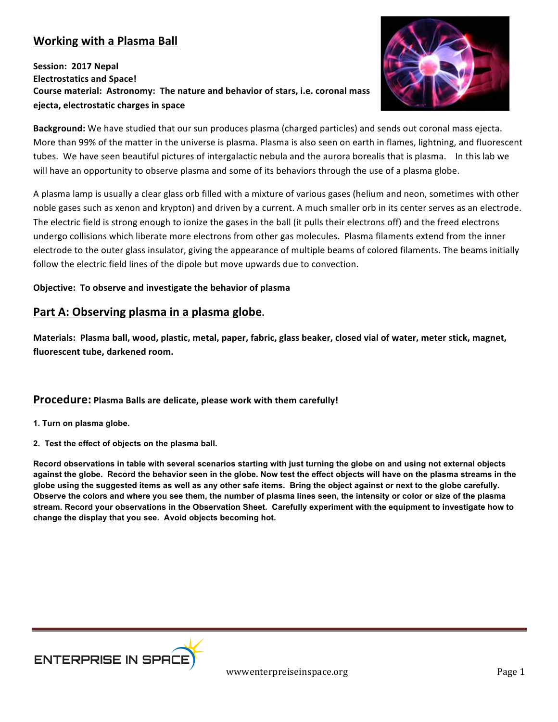# **Working with a Plasma Ball**

### Session: 2017 Nepal **Electrostatics and Space!** Course material: Astronomy: The nature and behavior of stars, i.e. coronal mass **ejecta, electrostatic charges in space**



**Background:** We have studied that our sun produces plasma (charged particles) and sends out coronal mass ejecta. More than 99% of the matter in the universe is plasma. Plasma is also seen on earth in flames, lightning, and fluorescent tubes. We have seen beautiful pictures of intergalactic nebula and the aurora borealis that is plasma. In this lab we will have an opportunity to observe plasma and some of its behaviors through the use of a plasma globe.

A plasma lamp is usually a clear glass orb filled with a mixture of various gases (helium and neon, sometimes with other noble gases such as xenon and krypton) and driven by a current. A much smaller orb in its center serves as an electrode. The electric field is strong enough to ionize the gases in the ball (it pulls their electrons off) and the freed electrons undergo collisions which liberate more electrons from other gas molecules. Plasma filaments extend from the inner electrode to the outer glass insulator, giving the appearance of multiple beams of colored filaments. The beams initially follow the electric field lines of the dipole but move upwards due to convection.

#### **Objective: To observe and investigate the behavior of plasma**

## Part A: Observing plasma in a plasma globe.

Materials: Plasma ball, wood, plastic, metal, paper, fabric, glass beaker, closed vial of water, meter stick, magnet, fluorescent tube, darkened room.

#### **Procedure:** Plasma Balls are delicate, please work with them carefully!

- **1. Turn on plasma globe.**
- **2. Test the effect of objects on the plasma ball.**

**Record observations in table with several scenarios starting with just turning the globe on and using not external objects against the globe. Record the behavior seen in the globe. Now test the effect objects will have on the plasma streams in the globe using the suggested items as well as any other safe items. Bring the object against or next to the globe carefully. Observe the colors and where you see them, the number of plasma lines seen, the intensity or color or size of the plasma stream. Record your observations in the Observation Sheet. Carefully experiment with the equipment to investigate how to change the display that you see. Avoid objects becoming hot.**



wwwenterpreiseinspace.org entitled by the Page 1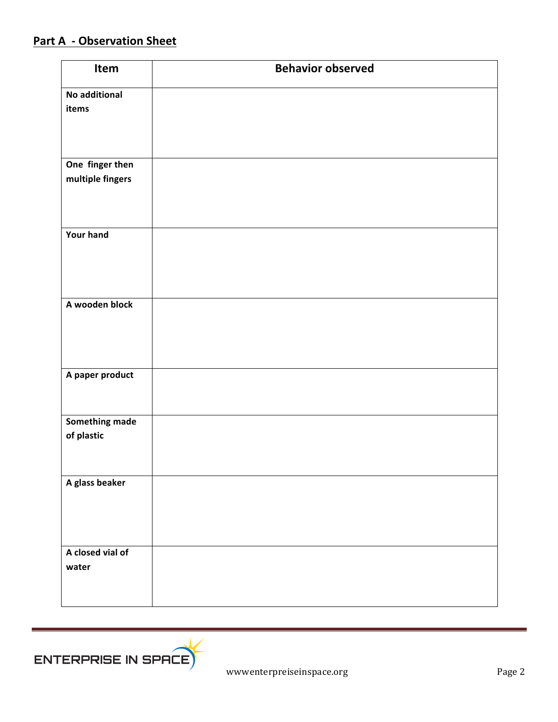# **Part A - Observation Sheet**

| Item                                | <b>Behavior observed</b> |
|-------------------------------------|--------------------------|
| No additional<br>items              |                          |
|                                     |                          |
| One finger then<br>multiple fingers |                          |
| Your hand                           |                          |
| A wooden block                      |                          |
| A paper product                     |                          |
| Something made<br>of plastic        |                          |
| A glass beaker                      |                          |
| A closed vial of<br>water           |                          |